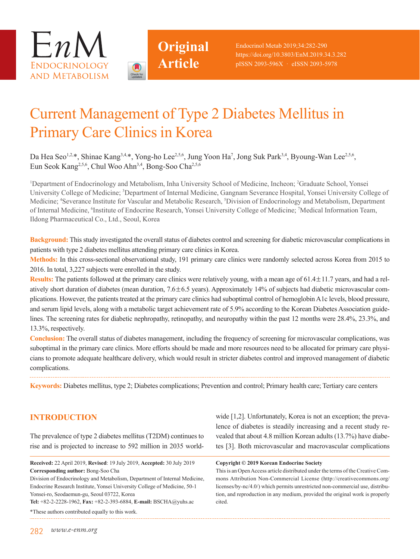



# Current Management of Type 2 Diabetes Mellitus in Primary Care Clinics in Korea

**Original**

**Article**

Da Hea Seo<sup>1,2,\*</sup>, Shinae Kang<sup>3,4,\*</sup>, Yong-ho Lee<sup>2,5,6</sup>, Jung Yoon Ha<sup>7</sup>, Jong Suk Park<sup>3,4</sup>, Byoung-Wan Lee<sup>2,5,6</sup>, Eun Seok Kang<sup>2,5,6</sup>, Chul Woo Ahn<sup>3,4</sup>, Bong-Soo Cha<sup>2,5,6</sup>

<sup>1</sup>Department of Endocrinology and Metabolism, Inha University School of Medicine, Incheon; <sup>2</sup>Graduate School, Yonsei University College of Medicine; <sup>3</sup>Department of Internal Medicine, Gangnam Severance Hospital, Yonsei University College of Medicine; <sup>4</sup>Severance Institute for Vascular and Metabolic Research, <sup>5</sup>Division of Endocrinology and Metabolism, Department of Internal Medicine, <sup>6</sup>Institute of Endocrine Research, Yonsei University College of Medicine; 7Medical Information Team, Ildong Pharmaceutical Co., Ltd., Seoul, Korea

**Background:** This study investigated the overall status of diabetes control and screening for diabetic microvascular complications in patients with type 2 diabetes mellitus attending primary care clinics in Korea.

**Methods:** In this cross-sectional observational study, 191 primary care clinics were randomly selected across Korea from 2015 to 2016. In total, 3,227 subjects were enrolled in the study.

**Results:** The patients followed at the primary care clinics were relatively young, with a mean age of 61.4±11.7 years, and had a relatively short duration of diabetes (mean duration, 7.6±6.5 years). Approximately 14% of subjects had diabetic microvascular complications. However, the patients treated at the primary care clinics had suboptimal control of hemoglobin A1c levels, blood pressure, and serum lipid levels, along with a metabolic target achievement rate of 5.9% according to the Korean Diabetes Association guidelines. The screening rates for diabetic nephropathy, retinopathy, and neuropathy within the past 12 months were 28.4%, 23.3%, and 13.3%, respectively.

**Conclusion:** The overall status of diabetes management, including the frequency of screening for microvascular complications, was suboptimal in the primary care clinics. More efforts should be made and more resources need to be allocated for primary care physicians to promote adequate healthcare delivery, which would result in stricter diabetes control and improved management of diabetic complications.

**Keywords:** Diabetes mellitus, type 2; Diabetes complications; Prevention and control; Primary health care; Tertiary care centers

# **INTRODUCTION**

The prevalence of type 2 diabetes mellitus (T2DM) continues to rise and is projected to increase to 592 million in 2035 world-

**Received:** 22 April 2019, **Revised**: 19 July 2019, **Accepted:** 30 July 2019 **Corresponding author:** Bong-Soo Cha Division of Endocrinology and Metabolism, Department of Internal Medicine,

Endocrine Research Institute, Yonsei University College of Medicine, 50-1 Yonsei-ro, Seodaemun-gu, Seoul 03722, Korea

**Tel:** +82-2-2228-1962, **Fax:** +82-2-393-6884, **E-mail:** BSCHA@yuhs.ac

\*These authors contributed equally to this work.

wide [1,2]. Unfortunately, Korea is not an exception; the prevalence of diabetes is steadily increasing and a recent study revealed that about 4.8 million Korean adults (13.7%) have diabetes [3]. Both microvascular and macrovascular complications

#### **Copyright © 2019 Korean Endocrine Society**

This is an Open Access article distributed under the terms of the Creative Commons Attribution Non-Commercial License (http://creativecommons.org/ licenses/by-nc/4.0/) which permits unrestricted non-commercial use, distribution, and reproduction in any medium, provided the original work is properly cited.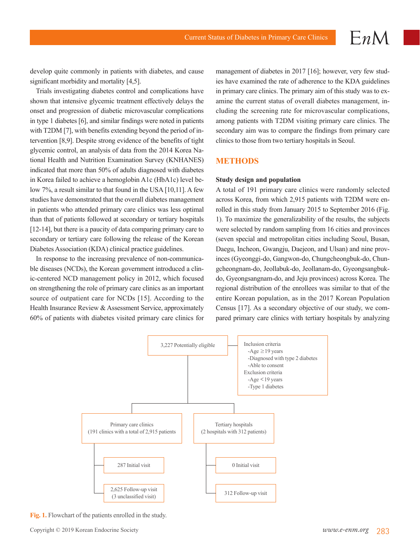develop quite commonly in patients with diabetes, and cause significant morbidity and mortality [4,5].

Trials investigating diabetes control and complications have shown that intensive glycemic treatment effectively delays the onset and progression of diabetic microvascular complications in type 1 diabetes [6], and similar findings were noted in patients with T2DM [7], with benefits extending beyond the period of intervention [8,9]. Despite strong evidence of the benefits of tight glycemic control, an analysis of data from the 2014 Korea National Health and Nutrition Examination Survey (KNHANES) indicated that more than 50% of adults diagnosed with diabetes in Korea failed to achieve a hemoglobin A1c (HbA1c) level below 7%, a result similar to that found in the USA [10,11]. A few studies have demonstrated that the overall diabetes management in patients who attended primary care clinics was less optimal than that of patients followed at secondary or tertiary hospitals [12-14], but there is a paucity of data comparing primary care to secondary or tertiary care following the release of the Korean Diabetes Association (KDA) clinical practice guidelines.

In response to the increasing prevalence of non-communicable diseases (NCDs), the Korean government introduced a clinic-centered NCD management policy in 2012, which focused on strengthening the role of primary care clinics as an important source of outpatient care for NCDs [15]. According to the Health Insurance Review & Assessment Service, approximately 60% of patients with diabetes visited primary care clinics for management of diabetes in 2017 [16]; however, very few studies have examined the rate of adherence to the KDA guidelines in primary care clinics. The primary aim of this study was to examine the current status of overall diabetes management, including the screening rate for microvascular complications, among patients with T2DM visiting primary care clinics. The secondary aim was to compare the findings from primary care clinics to those from two tertiary hospitals in Seoul.

### **METHODS**

#### **Study design and population**

A total of 191 primary care clinics were randomly selected across Korea, from which 2,915 patients with T2DM were enrolled in this study from January 2015 to September 2016 (Fig. 1). To maximize the generalizability of the results, the subjects were selected by random sampling from 16 cities and provinces (seven special and metropolitan cities including Seoul, Busan, Daegu, Incheon, Gwangju, Daejeon, and Ulsan) and nine provinces (Gyeonggi-do, Gangwon-do, Chungcheongbuk-do, Chungcheongnam-do, Jeollabuk-do, Jeollanam-do, Gyeongsangbukdo, Gyeongsangnam-do, and Jeju provinces) across Korea. The regional distribution of the enrollees was similar to that of the entire Korean population, as in the 2017 Korean Population Census [17]. As a secondary objective of our study, we compared primary care clinics with tertiary hospitals by analyzing



**Fig. 1.** Flowchart of the patients enrolled in the study.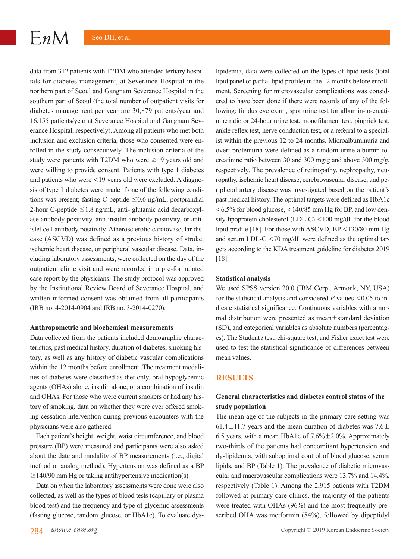data from 312 patients with T2DM who attended tertiary hospitals for diabetes management, at Severance Hospital in the northern part of Seoul and Gangnam Severance Hospital in the southern part of Seoul (the total number of outpatient visits for diabetes management per year are 30,879 patients/year and 16,155 patients/year at Severance Hospital and Gangnam Severance Hospital, respectively). Among all patients who met both inclusion and exclusion criteria, those who consented were enrolled in the study consecutively. The inclusion criteria of the study were patients with T2DM who were  $\geq$ 19 years old and were willing to provide consent. Patients with type 1 diabetes and patients who were <19 years old were excluded. A diagnosis of type 1 diabetes were made if one of the following conditions was present; fasting C-peptide  $\leq 0.6$  ng/mL, postprandial 2-hour C-peptide  $\leq$  1.8 ng/mL, anti- glutamic acid decarboxylase antibody positivity, anti-insulin antibody positivity, or antiislet cell antibody positivity. Atherosclerotic cardiovascular disease (ASCVD) was defined as a previous history of stroke, ischemic heart disease, or peripheral vascular disease. Data, including laboratory assessments, were collected on the day of the outpatient clinic visit and were recorded in a pre-formulated case report by the physicians. The study protocol was approved by the Institutional Review Board of Severance Hospital, and written informed consent was obtained from all participants (IRB no. 4-2014-0904 and IRB no. 3-2014-0270).

#### **Anthropometric and biochemical measurements**

Data collected from the patients included demographic characteristics, past medical history, duration of diabetes, smoking history, as well as any history of diabetic vascular complications within the 12 months before enrollment. The treatment modalities of diabetes were classified as diet only, oral hypoglycemic agents (OHAs) alone, insulin alone, or a combination of insulin and OHAs. For those who were current smokers or had any history of smoking, data on whether they were ever offered smoking cessation intervention during previous encounters with the physicians were also gathered.

Each patient's height, weight, waist circumference, and blood pressure (BP) were measured and participants were also asked about the date and modality of BP measurements (i.e., digital method or analog method). Hypertension was defined as a BP  $\geq$  140/90 mm Hg or taking antihypertensive medication(s).

Data on when the laboratory assessments were done were also collected, as well as the types of blood tests (capillary or plasma blood test) and the frequency and type of glycemic assessments (fasting glucose, random glucose, or HbA1c). To evaluate dyslipidemia, data were collected on the types of lipid tests (total lipid panel or partial lipid profile) in the 12 months before enrollment. Screening for microvascular complications was considered to have been done if there were records of any of the following: fundus eye exam, spot urine test for albumin-to-creatinine ratio or 24-hour urine test, monofilament test, pinprick test, ankle reflex test, nerve conduction test, or a referral to a specialist within the previous 12 to 24 months. Microalbuminuria and overt proteinuria were defined as a random urine albumin-tocreatinine ratio between 30 and 300 mg/g and above 300 mg/g, respectively. The prevalence of retinopathy, nephropathy, neuropathy, ischemic heart disease, cerebrovascular disease, and peripheral artery disease was investigated based on the patient's past medical history. The optimal targets were defined as HbA1c <6.5% for blood glucose, <140/85 mm Hg for BP, and low density lipoprotein cholesterol (LDL-C) <100 mg/dL for the blood lipid profile [18]. For those with ASCVD, BP <130/80 mm Hg and serum LDL-C <70 mg/dL were defined as the optimal targets according to the KDA treatment guideline for diabetes 2019 [18].

#### **Statistical analysis**

We used SPSS version 20.0 (IBM Corp., Armonk, NY, USA) for the statistical analysis and considered *P* values <0.05 to indicate statistical significance. Continuous variables with a normal distribution were presented as mean±standard deviation (SD), and categorical variables as absolute numbers (percentages). The Student *t* test, chi-square test, and Fisher exact test were used to test the statistical significance of differences between mean values.

#### **RESULTS**

# **General characteristics and diabetes control status of the study population**

The mean age of the subjects in the primary care setting was 61.4 $\pm$ 11.7 years and the mean duration of diabetes was 7.6 $\pm$ 6.5 years, with a mean HbA1c of  $7.6\% \pm 2.0\%$ . Approximately two-thirds of the patients had concomitant hypertension and dyslipidemia, with suboptimal control of blood glucose, serum lipids, and BP (Table 1). The prevalence of diabetic microvascular and macrovascular complications were 13.7% and 14.4%, respectively (Table 1). Among the 2,915 patients with T2DM followed at primary care clinics, the majority of the patients were treated with OHAs (96%) and the most frequently prescribed OHA was metformin (84%), followed by dipeptidyl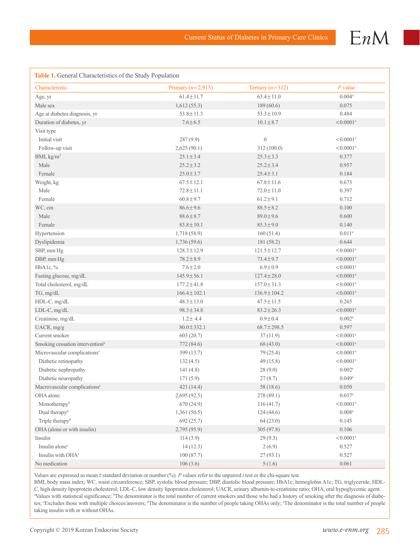

| Characteristic                              | Primary ( $n=2,915$ ) | Tertiary $(n=312)$ | $P$ value               |
|---------------------------------------------|-----------------------|--------------------|-------------------------|
| Age, yr                                     | $61.4 \pm 11.7$       | $63.4 \pm 11.0$    | $0.004\mathrm{^a}$      |
| Male sex                                    | 1,612(55.3)           | 189(60.6)          | 0.075                   |
| Age at diabetes diagnosis, yr               | $53.8 \pm 11.3$       | $53.3 \pm 10.9$    | 0.484                   |
| Duration of diabetes, yr                    | $7.6 \pm 6.5$         | $10.1 \pm 8.7$     | $< 0.0001$ <sup>a</sup> |
| Visit type                                  |                       |                    |                         |
| Initial visit                               | 287(9.9)              | $\boldsymbol{0}$   | $< 0.0001$ <sup>a</sup> |
| Follow-up visit                             | 2,625(90.1)           | 312 (100.0)        | $< 0.0001$ <sup>a</sup> |
| BMI, kg/m <sup>2</sup>                      | $25.1 \pm 3.4$        | $25.3 \pm 3.3$     | 0.377                   |
| Male                                        | $25.2 \pm 3.2$        | $25.2 \pm 3.4$     | 0.957                   |
| Female                                      | $25.0 \pm 3.7$        | $25.4 \pm 3.1$     | 0.184                   |
| Weight, kg                                  | $67.5 \pm 12.1$       | $67.8 \pm 11.6$    | 0.673                   |
| Male                                        | $72.8 \pm 11.1$       | $72.0 \pm 11.0$    | 0.397                   |
| Female                                      | $60.8 \pm 9.7$        | $61.2 \pm 9.1$     | 0.712                   |
| WC, cm                                      | $86.6 \pm 9.6$        | $88.5 \pm 8.2$     | 0.100                   |
| Male                                        | $88.6 \pm 8.7$        | $89.0 \pm 9.6$     | 0.600                   |
| Female                                      | $83.8 \pm 10.1$       | $85.3 \pm 9.0$     | 0.140                   |
| Hypertension                                | 1,718(58.9)           | 160(51.4)          | $0.011^a$               |
| Dyslipidemia                                | 1,736(59.6)           | 181(58.2)          | 0.644                   |
| SBP, mm Hg                                  | $128.3 \pm 12.9$      | $121.5 \pm 12.7$   | $< 0.0001$ <sup>a</sup> |
| DBP, mm Hg                                  | $78.2 \pm 8.9$        | 73.4±9.7           | $< 0.0001$ <sup>a</sup> |
| HbA1c, %                                    | $7.6 \pm 2.0$         | $6.9 \pm 0.9$      | $< 0.0001$ <sup>a</sup> |
| Fasting glucose, mg/dL                      | $145.9 \pm 56.1$      | $127.4 \pm 28.0$   | $< 0.0001$ <sup>a</sup> |
| Total cholesterol, mg/dL                    | $177.2 \pm 41.8$      | $157.0 \pm 31.3$   | $< 0.0001$ <sup>a</sup> |
| TG, mg/dL                                   | $166.4 \pm 102.1$     | $136.9 \pm 104.2$  | $< 0.0001$ <sup>a</sup> |
| HDL-C, mg/dL                                | $48.3 \pm 13.0$       | $47.5 \pm 11.5$    | 0.265                   |
| LDL-C, mg/dL                                | $98.3 \pm 34.8$       | $83.2 \pm 26.3$    | $< 0.0001$ <sup>a</sup> |
| Creatinine, mg/dL                           | $1.2 \pm 4.4$         | $0.9 \pm 0.4$      | $0.002^{\rm a}$         |
| UACR, mg/g                                  | $80.0 \pm 332.1$      | $68.7 \pm 298.5$   | 0.597                   |
| Current smoker                              | 603(20.7)             | 37(11.9)           | $< 0.0001$ <sup>a</sup> |
| Smoking cessation intervention <sup>b</sup> | 772 (84.6)            | 68(43.0)           | $< 0.0001$ <sup>a</sup> |
| Microvascular complications <sup>c</sup>    | 399 (13.7)            | 79 (25.4)          | $< 0.0001$ <sup>a</sup> |
| Diabetic retinopathy                        | 132(4.5)              | 49(15.8)           | $< 0.0001$ <sup>a</sup> |
| Diabetic nephropathy                        | 141(4.8)              | 28(9.0)            | $0.002^{\rm a}$         |
| Diabetic neuropathy                         | 171(5.9)              | 27(8.7)            | 0.049a                  |
| Macrovascular complications <sup>c</sup>    | 421(14.4)             | 58 (18.6)          | 0.050                   |
| OHA alone                                   | 2,695(92.5)           | 278 (89.1)         | $0.037^{a}$             |
| Monotherapy <sup>d</sup>                    | 670 (24.9)            | 116(41.7)          | $< 0.0001$ <sup>a</sup> |
| Dual therapy <sup>d</sup>                   | 1,361(50.5)           | 124(44.6)          | $0.008^{a}$             |
| Triple therapy <sup>d</sup>                 | 692(25.7)             | 64(23.0)           | 0.145                   |
| OHA (alone or with insulin)                 | 2,795 (95.9)          | 305 (97.8)         | 0.106                   |
| Insulin                                     | 114(3.9)              | 29(9.3)            | $< 0.0001$ <sup>a</sup> |
| Insulin alone <sup>e</sup>                  | 14(12.3)              | 2(6.9)             | 0.527                   |
| Insulin with OHA <sup>e</sup>               | 100(87.7)             | 27(93.1)           | 0.527                   |
| No medication                               | 106(3.6)              | 5(1.6)             | 0.061                   |

Values are expressed as mean±standard deviation or number (%). *P* values refer to the unpaired *t* test or the chi-square test.

BMI, body mass index; WC, waist circumference; SBP, systolic blood pressure; DBP, diastolic blood pressure; HbA1c; hemoglobin A1c; TG, triglyceride; HDL-C, high density lipoprotein cholesterol; LDL-C, low density lipoprotein cholesterol; UACR, urinary albumin-to-creatinine ratio; OHA, oral hypoglycemic agent. a Values with statistical significance; <sup>b</sup>The denominator is the total number of current smokers and those who had a history of smoking after the diagnosis of diabetes; 'Excludes those with multiple choices/answers; <sup>a</sup>The denominator is the number of people taking OHAs only; 'The denominator is the total number of people taking insulin with or without OHAs.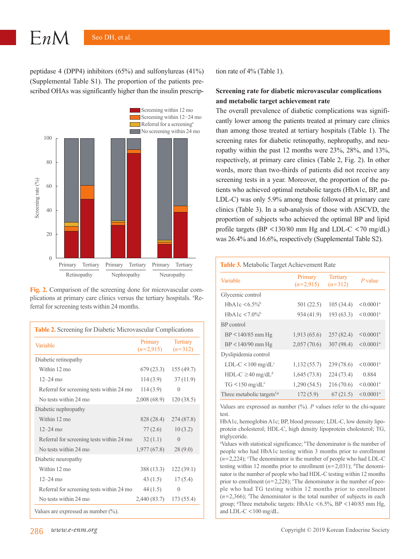$EnM$ 

peptidase 4 (DPP4) inhibitors (65%) and sulfonylureas (41%) (Supplemental Table S1). The proportion of the patients prescribed OHAs was significantly higher than the insulin prescrip-



**Fig. 2.** Comparison of the screening done for microvascular complications at primary care clinics versus the tertiary hospitals. <sup>a</sup>Referral for screening tests within 24 months.

| Table 2. Screening for Diabetic Microvascular Complications |                        |                              |  |  |
|-------------------------------------------------------------|------------------------|------------------------------|--|--|
| Variable                                                    | Primary<br>$(n=2.915)$ | <b>Tertiary</b><br>$(n=312)$ |  |  |
| Diabetic retinopathy                                        |                        |                              |  |  |
| Within 12 mo                                                | 679 (23.3)             | 155(49.7)                    |  |  |
| $12 - 24$ mo                                                | 114(3.9)               | 37(11.9)                     |  |  |
| Referral for screening tests within 24 mo                   | 114(3.9)               | $\left( \right)$             |  |  |
| No tests within 24 mo                                       | 2,008 (68.9)           | 120(38.5)                    |  |  |
| Diabetic nephropathy                                        |                        |                              |  |  |
| Within 12 mo                                                | 828 (28.4)             | 274(87.8)                    |  |  |
| $12 - 24$ mo                                                | 77(2.6)                | 10(3.2)                      |  |  |
| Referral for screening tests within 24 mo                   | 32(1.1)                | $\Omega$                     |  |  |
| No tests within 24 mo                                       | 1,977(67.8)            | 28(9.0)                      |  |  |
| Diabetic neuropathy                                         |                        |                              |  |  |
| Within 12 mo                                                | 388 (13.3)             | 122(39.1)                    |  |  |
| $12 - 24$ mo                                                | 43 (1.5)               | 17(5.4)                      |  |  |
| Referral for screening tests within 24 mo                   | 44 (1.5)               | $\theta$                     |  |  |
| No tests within 24 mo                                       | 2,440 (83.7)           | 173 (55.4)                   |  |  |
| Values are expressed as number $(\% )$ .                    |                        |                              |  |  |

tion rate of 4% (Table 1).

# **Screening rate for diabetic microvascular complications and metabolic target achievement rate**

The overall prevalence of diabetic complications was significantly lower among the patients treated at primary care clinics than among those treated at tertiary hospitals (Table 1). The screening rates for diabetic retinopathy, nephropathy, and neuropathy within the past 12 months were 23%, 28%, and 13%, respectively, at primary care clinics (Table 2, Fig. 2). In other words, more than two-thirds of patients did not receive any screening tests in a year. Moreover, the proportion of the patients who achieved optimal metabolic targets (HbA1c, BP, and LDL-C) was only 5.9% among those followed at primary care clinics (Table 3). In a sub-analysis of those with ASCVD, the proportion of subjects who achieved the optimal BP and lipid profile targets (BP <130/80 mm Hg and LDL-C <70 mg/dL) was 26.4% and 16.6%, respectively (Supplemental Table S2).

| <b>Table 3.</b> Metabolic Target Achievement Rate |                        |                              |                         |  |
|---------------------------------------------------|------------------------|------------------------------|-------------------------|--|
| Variable                                          | Primary<br>$(n=2.915)$ | <b>Tertiary</b><br>$(n=312)$ | P value                 |  |
| Glycemic control                                  |                        |                              |                         |  |
| HbA1c $\leq 6.5\%$ <sup>b</sup>                   | 501(22.5)              | 105(34.4)                    | $< 0.0001$ <sup>a</sup> |  |
| $HhA1c < 7.0\%$                                   | 934 (41.9)             | 193(63.3)                    | $< 0.0001$ <sup>a</sup> |  |
| BP control                                        |                        |                              |                         |  |
| $BP < 140/85$ mm Hg                               | 1,913(65.6)            | 257(82.4)                    | $< 0.0001$ <sup>a</sup> |  |
| $BP < 140/90$ mm Hg                               | 2,057(70.6)            | 307 (98.4)                   | $< 0.0001$ <sup>a</sup> |  |
| Dyslipidemia control                              |                        |                              |                         |  |
| $LDL-C < 100$ mg/d $L^c$                          | 1,132(55.7)            | 239(78.6)                    | $< 0.0001$ <sup>a</sup> |  |
| $HDL-C \geq 40$ mg/d $Ld$                         | 1,645(73.8)            | 224(73.4)                    | 0.884                   |  |
| $TG < 150$ mg/dL <sup>e</sup>                     | 1,290(54.5)            | 216(70.6)                    | $< 0.0001$ <sup>a</sup> |  |
| Three metabolic targets <sup>f,g</sup>            | 172(5.9)               | 67(21.5)                     | $< 0.0001$ <sup>a</sup> |  |

Values are expressed as number  $(\%)$ . *P* values refer to the chi-square test.

HbA1c, hemoglobin A1c; BP, blood pressure; LDL-C, low density lipoprotein cholesterol; HDL-C, high density lipoprotein cholesterol; TG, triglyceride.

<sup>a</sup>Values with statistical significance; <sup>b</sup>The denominator is the number of people who had HbA1c testing within 3 months prior to enrollment  $(n=2,224)$ ; <sup>c</sup>The denominator is the number of people who had LDL-C testing within 12 months prior to enrollment  $(n=2,031)$ ; <sup>d</sup>The denominator is the number of people who had HDL-C testing within 12 months prior to enrollment  $(n=2,228)$ ; <sup>e</sup>The denominator is the number of people who had TG testing within 12 months prior to enrollment  $(n=2,366)$ ; <sup>f</sup>The denominator is the total number of subjects in each group; <sup>g</sup>Three metabolic targets: HbA1c <6.5%, BP <140/85 mm Hg, and LDL-C <100 mg/dL.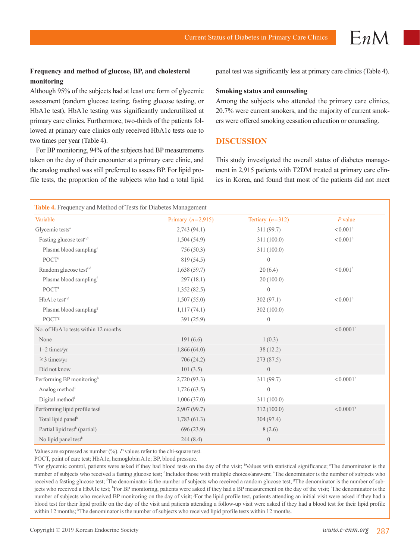## **Frequency and method of glucose, BP, and cholesterol monitoring**

Although 95% of the subjects had at least one form of glycemic assessment (random glucose testing, fasting glucose testing, or HbA1c test), HbA1c testing was significantly underutilized at primary care clinics. Furthermore, two-thirds of the patients followed at primary care clinics only received HbA1c tests one to two times per year (Table 4).

For BP monitoring, 94% of the subjects had BP measurements taken on the day of their encounter at a primary care clinic, and the analog method was still preferred to assess BP. For lipid profile tests, the proportion of the subjects who had a total lipid panel test was significantly less at primary care clinics (Table 4).

#### **Smoking status and counseling**

Among the subjects who attended the primary care clinics, 20.7% were current smokers, and the majority of current smokers were offered smoking cessation education or counseling.

## **DISCUSSION**

This study investigated the overall status of diabetes management in 2,915 patients with T2DM treated at primary care clinics in Korea, and found that most of the patients did not meet

| Table 4. Frequency and Method of Tests for Diabetes Management |                     |                    |                         |  |  |
|----------------------------------------------------------------|---------------------|--------------------|-------------------------|--|--|
| Variable                                                       | Primary $(n=2.915)$ | Tertiary $(n=312)$ | $P$ value               |  |  |
| Glycemic tests <sup>a</sup>                                    | 2,743(94.1)         | 311(99.7)          | $< 0.001^b$             |  |  |
| Fasting glucose test <sup>c,d</sup>                            | 1,504(54.9)         | 311(100.0)         | $< 0.001^b$             |  |  |
| Plasma blood sampling <sup>e</sup>                             | 756(50.3)           | 311 (100.0)        |                         |  |  |
| POCT <sup>e</sup>                                              | 819 (54.5)          | $\overline{0}$     |                         |  |  |
| Random glucose test <sup>c,d</sup>                             | 1,638(59.7)         | 20(6.4)            | $< 0.001^b$             |  |  |
| Plasma blood sampling <sup>f</sup>                             | 297(18.1)           | 20(100.0)          |                         |  |  |
| POCTf                                                          | 1,352(82.5)         | $\overline{0}$     |                         |  |  |
| HbA1c test <sup>c,d</sup>                                      | 1,507(55.0)         | 302(97.1)          | $< 0.001$ <sup>b</sup>  |  |  |
| Plasma blood sampling <sup>g</sup>                             | 1,117(74.1)         | 302 (100.0)        |                         |  |  |
| POCT <sup>g</sup>                                              | 391(25.9)           | $\theta$           |                         |  |  |
| No. of HbA1c tests within 12 months                            |                     |                    | $< 0.0001^b$            |  |  |
| None                                                           | 191(6.6)            | 1(0.3)             |                         |  |  |
| $1-2$ times/yr                                                 | 1,866(64.0)         | 38(12.2)           |                         |  |  |
| $\geq$ 3 times/yr                                              | 706(24.2)           | 273 (87.5)         |                         |  |  |
| Did not know                                                   | 101(3.5)            | $\theta$           |                         |  |  |
| Performing BP monitoringh                                      | 2,720(93.3)         | 311 (99.7)         | $< 0.0001$ <sup>b</sup> |  |  |
| Analog method <sup>i</sup>                                     | 1,726(63.5)         | $\theta$           |                         |  |  |
| Digital method <sup>i</sup>                                    | 1,006(37.0)         | 311 (100.0)        |                         |  |  |
| Performing lipid profile test <sup>i</sup>                     | 2,907(99.7)         | 312 (100.0)        | $< 0.0001^b$            |  |  |
| Total lipid panel <sup>k</sup>                                 | 1,783(61.3)         | 304(97.4)          |                         |  |  |
| Partial lipid test <sup>k</sup> (partial)                      | 696(23.9)           | 8(2.6)             |                         |  |  |
| No lipid panel test <sup>k</sup>                               | 244(8.4)            | $\theta$           |                         |  |  |

Values are expressed as number (%). *P* values refer to the chi-square test.

POCT, point of care test; HbA1c, hemoglobin A1c; BP, blood pressure.

<sup>a</sup> For glycemic control, patients were asked if they had blood tests on the day of the visit; <sup>b</sup>Values with statistical significance; <sup>c</sup>The denominator is the number of subjects who received a fasting glucose test; dIncludes those with multiple choices/answers; "The denominator is the number of subjects who received a fasting glucose test; <sup>e</sup>The denominator is the number of subjects who received a random glucose test; <sup>g</sup>The denominator is the number of subjects who received a HbA1c test; <sup>h</sup>For BP monitoring, patients were asked if they had a BP measurement on the day of the visit; 'The denominator is the number of subjects who received BP monitoring on the day of visit; For the lipid profile test, patients attending an initial visit were asked if they had a blood test for their lipid profile on the day of the visit and patients attending a follow-up visit were asked if they had a blood test for their lipid profile within 12 months; <sup>k</sup>The denominator is the number of subjects who received lipid profile tests within 12 months.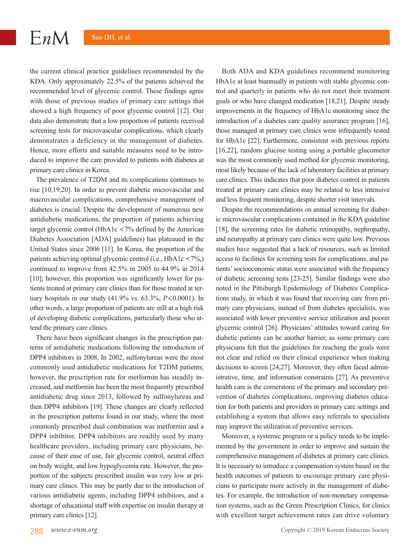$EnM$ 

the current clinical practice guidelines recommended by the KDA. Only approximately 22.5% of the patients achieved the recommended level of glycemic control. These findings agree with those of previous studies of primary care settings that showed a high frequency of poor glycemic control [12]. Our data also demonstrate that a low proportion of patients received screening tests for microvascular complications, which clearly demonstrates a deficiency in the management of diabetes. Hence, more efforts and suitable measures need to be introduced to improve the care provided to patients with diabetes at primary care clinics in Korea.

The prevalence of T2DM and its complications continues to rise [10,19,20]. In order to prevent diabetic microvascular and macrovascular complications, comprehensive management of diabetes is crucial. Despite the development of numerous new antidiabetic medications, the proportion of patients achieving target glycemic control (HbA1c <7% defined by the American Diabetes Association [ADA] guidelines) has plateaued in the United States since 2006 [11]. In Korea, the proportion of the patients achieving optimal glycemic control (i.e., HbA1c  $\langle 7\%, \rangle$ ) continued to improve from 42.5% in 2005 to 44.9% in 2014 [10]; however, this proportion was significantly lower for patients treated at primary care clinics than for those treated at tertiary hospitals in our study (41.9% vs. 63.3%, *P*<0.0001). In other words, a large proportion of patients are still at a high risk of developing diabetic complications, particularly those who attend the primary care clinics.

There have been significant changes in the prescription patterns of antidiabetic medications following the introduction of DPP4 inhibitors in 2008. In 2002, sulfonylureas were the most commonly used antidiabetic medications for T2DM patients; however, the prescription rate for metformin has steadily increased, and metformin has been the most frequently prescribed antidiabetic drug since 2013, followed by sulfonylureas and then DPP4 inhibitors [19]. These changes are clearly reflected in the prescription patterns found in our study, where the most commonly prescribed dual combination was metformin and a DPP4 inhibitor. DPP4 inhibitors are readily used by many healthcare providers, including primary care physicians, because of their ease of use, fair glycemic control, neutral effect on body weight, and low hypoglycemia rate. However, the proportion of the subjects prescribed insulin was very low at primary care clinics. This may be partly due to the introduction of various antidiabetic agents, including DPP4 inhibitors, and a shortage of educational staff with expertise on insulin therapy at primary care clinics [12].

Both ADA and KDA guidelines recommend monitoring HbA1c at least biannually in patients with stable glycemic control and quarterly in patients who do not meet their treatment goals or who have changed medication [18,21]. Despite steady improvements in the frequency of HbA1c monitoring since the introduction of a diabetes care quality assurance program [16], those managed at primary care clinics were infrequently tested for HbA1c [22]. Furthermore, consistent with previous reports [16,22], random glucose testing using a portable glucometer was the most commonly used method for glycemic monitoring, most likely because of the lack of laboratory facilities at primary care clinics. This indicates that poor diabetes control in patients treated at primary care clinics may be related to less intensive and less frequent monitoring, despite shorter visit intervals.

Despite the recommendations on annual screening for diabetic microvascular complications contained in the KDA guideline [18], the screening rates for diabetic retinopathy, nephropathy, and neuropathy at primary care clinics were quite low. Previous studies have suggested that a lack of resources, such as limited access to facilities for screening tests for complications, and patients' socioeconomic status were associated with the frequency of diabetic screening tests [23-25]. Similar findings were also noted in the Pittsburgh Epidemiology of Diabetes Complications study, in which it was found that receiving care from primary care physicians, instead of from diabetes specialists, was associated with lower preventive service utilization and poorer glycemic control [26]. Physicians' attitudes toward caring for diabetic patients can be another barrier, as some primary care physicians felt that the guidelines for reaching the goals were not clear and relied on their clinical experience when making decisions to screen [24,27]. Moreover, they often faced administrative, time, and information constraints [27]. As preventive health care is the cornerstone of the primary and secondary prevention of diabetes complications, improving diabetes education for both patients and providers in primary care settings and establishing a system that allows easy referrals to specialists may improve the utilization of preventive services.

Moreover, a systemic program or a policy needs to be implemented by the government in order to improve and sustain the comprehensive management of diabetes at primary care clinics. It is necessary to introduce a compensation system based on the health outcomes of patients to encourage primary care physicians to participate more actively in the management of diabetes. For example, the introduction of non-monetary compensation systems, such as the Green Prescription Clinics, for clinics with excellent target achievement rates can drive voluntary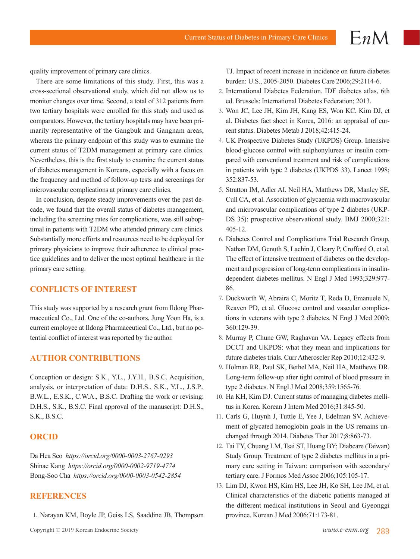quality improvement of primary care clinics.

There are some limitations of this study. First, this was a cross-sectional observational study, which did not allow us to monitor changes over time. Second, a total of 312 patients from two tertiary hospitals were enrolled for this study and used as comparators. However, the tertiary hospitals may have been primarily representative of the Gangbuk and Gangnam areas, whereas the primary endpoint of this study was to examine the current status of T2DM management at primary care clinics. Nevertheless, this is the first study to examine the current status of diabetes management in Koreans, especially with a focus on the frequency and method of follow-up tests and screenings for microvascular complications at primary care clinics.

In conclusion, despite steady improvements over the past decade, we found that the overall status of diabetes management, including the screening rates for complications, was still suboptimal in patients with T2DM who attended primary care clinics. Substantially more efforts and resources need to be deployed for primary physicians to improve their adherence to clinical practice guidelines and to deliver the most optimal healthcare in the primary care setting.

# **CONFLICTS OF INTEREST**

This study was supported by a research grant from Ildong Pharmaceutical Co., Ltd. One of the co-authors, Jung Yoon Ha, is a current employee at Ildong Pharmaceutical Co., Ltd., but no potential conflict of interest was reported by the author.

# **AUTHOR CONTRIBUTIONS**

Conception or design: S.K., Y.L., J.Y.H., B.S.C. Acquisition, analysis, or interpretation of data: D.H.S., S.K., Y.L., J.S.P., B.W.L., E.S.K., C.W.A., B.S.C. Drafting the work or revising: D.H.S., S.K., B.S.C. Final approval of the manuscript: D.H.S., S.K., B.S.C.

# **ORCID**

Da Hea Seo *https://orcid.org/0000-0003-2767-0293* Shinae Kang *https://orcid.org/0000-0002-9719-4774* Bong-Soo Cha *https://orcid.org/0000-0003-0542-2854*

### **REFERENCES**

1. Narayan KM, Boyle JP, Geiss LS, Saaddine JB, Thompson

 $EnM$ 

- 2. International Diabetes Federation. IDF diabetes atlas, 6th ed. Brussels: International Diabetes Federation; 2013.
- 3. Won JC, Lee JH, Kim JH, Kang ES, Won KC, Kim DJ, et al. Diabetes fact sheet in Korea, 2016: an appraisal of current status. Diabetes Metab J 2018;42:415-24.
- 4. UK Prospective Diabetes Study (UKPDS) Group. Intensive blood-glucose control with sulphonylureas or insulin compared with conventional treatment and risk of complications in patients with type 2 diabetes (UKPDS 33). Lancet 1998; 352:837-53.
- 5. Stratton IM, Adler AI, Neil HA, Matthews DR, Manley SE, Cull CA, et al. Association of glycaemia with macrovascular and microvascular complications of type 2 diabetes (UKP-DS 35): prospective observational study. BMJ 2000;321: 405-12.
- 6. Diabetes Control and Complications Trial Research Group, Nathan DM, Genuth S, Lachin J, Cleary P, Crofford O, et al. The effect of intensive treatment of diabetes on the development and progression of long-term complications in insulindependent diabetes mellitus. N Engl J Med 1993;329:977- 86.
- 7. Duckworth W, Abraira C, Moritz T, Reda D, Emanuele N, Reaven PD, et al. Glucose control and vascular complications in veterans with type 2 diabetes. N Engl J Med 2009; 360:129-39.
- 8. Murray P, Chune GW, Raghavan VA. Legacy effects from DCCT and UKPDS: what they mean and implications for future diabetes trials. Curr Atheroscler Rep 2010;12:432-9.
- 9. Holman RR, Paul SK, Bethel MA, Neil HA, Matthews DR. Long-term follow-up after tight control of blood pressure in type 2 diabetes. N Engl J Med 2008;359:1565-76.
- 10. Ha KH, Kim DJ. Current status of managing diabetes mellitus in Korea. Korean J Intern Med 2016;31:845-50.
- 11. Carls G, Huynh J, Tuttle E, Yee J, Edelman SV. Achievement of glycated hemoglobin goals in the US remains unchanged through 2014. Diabetes Ther 2017;8:863-73.
- 12. Tai TY, Chuang LM, Tsai ST, Huang BY; Diabcare (Taiwan) Study Group. Treatment of type 2 diabetes mellitus in a primary care setting in Taiwan: comparison with secondary/ tertiary care. J Formos Med Assoc 2006;105:105-17.
- 13. Lim DJ, Kwon HS, Kim HS, Lee JH, Ko SH, Lee JM, et al. Clinical characteristics of the diabetic patients managed at the different medical institutions in Seoul and Gyeonggi province. Korean J Med 2006;71:173-81.